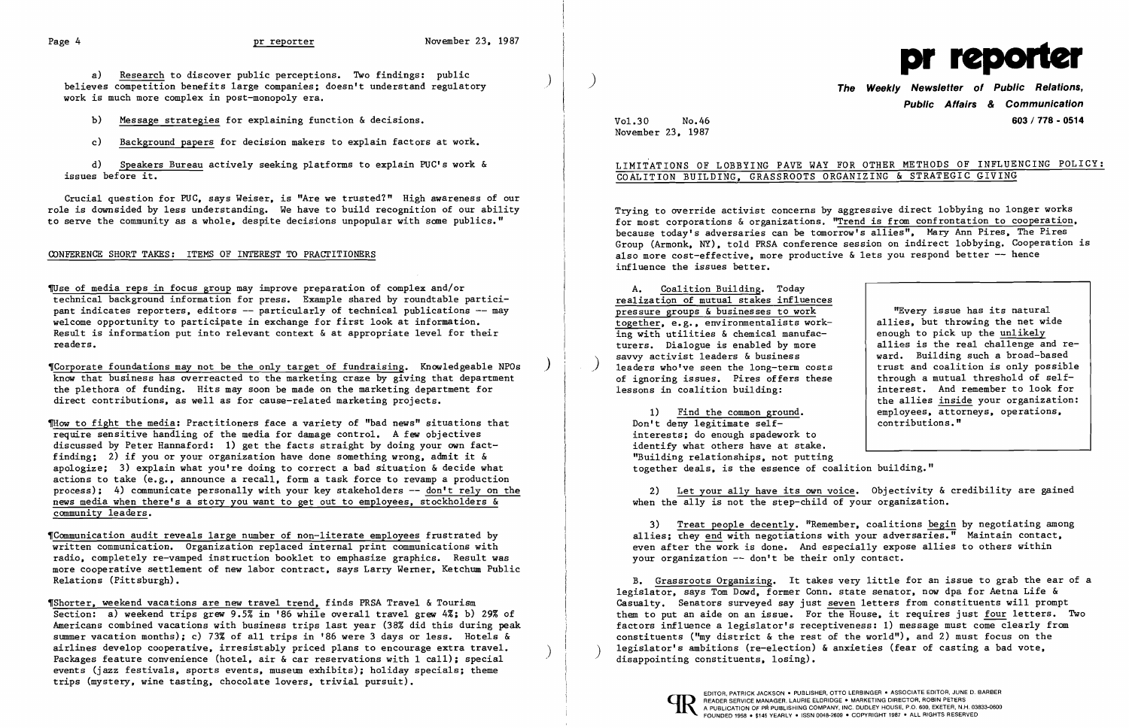a) Research to discover public perceptions. Two findings: public believes competition benefits large companies; doesn't understand regulatory work is much more complex in post-monopoly era.

b) Message strategies for explaining function & decisions.

d) Speakers Bureau actively seeking platforms to explain PUC's work & issues before it. i<br>İ

c) Background papers for decision makers to explain factors at work.

Crucial question for PUC, says Weiser, is "Are we trusted?" High awareness of our role is downsided by less understanding. We have to build recognition of our ability to serve the community as a whole. despite decisions unpopular with some publics."

## CONFERENCE SHORT TAKES: ITEMS OF INTEREST TO PRACTITIONERS

*VUse* of media reps in focus group may improve preparation of complex and/or technical background information for press. Example shared by roundtable participant indicates reporters, editors -- particularly of technical publications -- may welcome opportunity to participate in exchange for first look at information. Result is information put into relevant context & at appropriate level for their readers.

Thow to fight the media: Practitioners face a variety of "bad news" situations that require sensitive handling of the media for damage control. A few objectives discussed by Peter Hannaford: 1) get the facts straight by doing your own factfinding; 2) if you or your organization have done something wrong, admit it & apologize; 3) explain what you're doing to correct a bad situation  $\&$  decide what actions to take (e.g., announce a recall, form a task force to revamp a production process); 4) communicate personally with your key stakeholders -- don't rely on the news media when there's a story you want to get out to employees, stockholders & community leaders.

,Corporate foundations may not be the only target of fundraising. Knowledgeable NPOs ) know that business has overreacted to the marketing craze by giving that department the plethora of funding. Hits may soon be made on the marketing department for direct contributions, as well as for cause-related marketing projects.

TShorter, weekend vacations are new travel trend, finds PRSA Travel & Tourism Section: a) weekend trips grew 9.5% in '86 while overall travel grew 4%; b) 29% of Americans combined vacations with business trips last year (38% did this during peak summer vacation months); c) 73% of all trips in '86 were 3 days or less. Hotels & airlines develop cooperative, irresistably priced plans to encourage extra travel.<br>Packages feature convenience (hotel, air & car reservations with 1 call); special events (jazz festivals, sports events, museum exhibits); holiday specials; theme trips (mystery, wine tasting, chocolate lovers, trivial pursuit).

'Communication audit reveals large number of non-literate employees frustrated by written communication. Organization replaced internal print communications with radio, completely re-vamped instruction booklet to emphasize graphics. Result was more cooperative settlement of new labor contract, says Larry Werner, Ketchum Public Relations (Pittsburgh).

2) Let your ally have its own voice. Objectivity & credibility are gained when the ally is not the step-child of your organization.

B. Grassroots Organizing. It takes very little for an issue to grab the ear of a legislator, says Tom Dowd, former Conn. state senator, now dpa for Aetna Life & Casualty. Senators surveyed say just seven letters from constituents will prompt them to put an aide on an issue. For the House, it requires just four letters. TWo factors influence a legislator's receptiveness: 1) message must come clearly from constituents ("my district & the rest of the world"), and 2) must focus on the legislator's ambitions (re-election) & anxieties (fear of casting a bad vote, disappointing constituents, losing).



**Public Affairs & Communication**  Vo1.3D No.46 **603/778 - 0514** 

November 23, 1987

## LIMITATIONS OF LOBBYING PAVE WAY FOR OTHER METHODS OF INFLUENCING POLICY: COALITION BUILDING, GRASSROOTS ORGANIZING & STRATEGIC GIVING

Trying to override activist concerns by aggressive direct lobbying no longer works for most corporations & organizations. "Trend is from confrontation to cooperation. because today's adversaries can be tomorrow's allies", Mary Ann Pires, The Pires Group (Armonk, NY). told PRSA conference session on indirect lobbying. Cooperation is also more cost-effective, more productive  $\&$  lets you respond better -- hence influence the issues better.

A. Coalition Building. Today realization of mutual stakes influences pressure groups & businesses to work together, e.g., environmentalists working with utilities & chemical manufacturers. Dialogue is enabled by more<br>savvy activist leaders & business leaders who've seen the long-term costs of ignoring issues. Pires offers these lessons in coalition building:

1) Find the common ground. Don't deny legitimate se1finterests; do enough spadework to identify what others have at stake. "Building relationships, not putting together deals, is the essence of coalition building. "

"Every issue has its natural allies, but throwing the net wide enough to pick up the unlikely allies is the real challenge and reward. Building such a broad-based trust and coalition is only possible through a mutual threshold of se1finterest. And remember to look for the allies inside your organization: employees, attorneys, operations, contributions."

3) Treat people decently. "Remember, coalitions begin by negotiating among allies; they end with negotiations with your adversaries." Maintain contact, even after the work is done. And especially expose allies to others within your organization -- don't be their only contact.